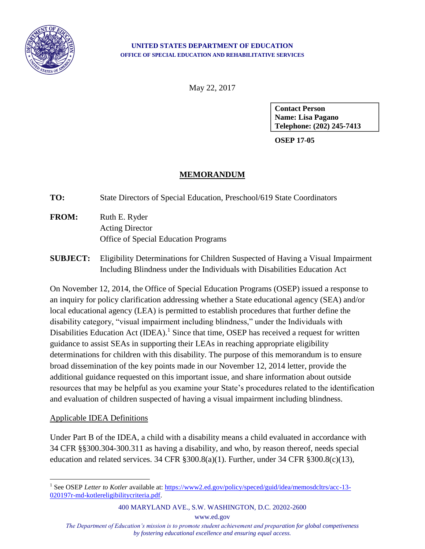

#### **UNITED STATES DEPARTMENT OF EDUCATION OFFICE OF SPECIAL EDUCATION AND REHABILITATIVE SERVICES**

May 22, 2017

**Contact Person Name: Lisa Pagano Telephone: (202) 245-7413**

**OSEP 17-05**

## **MEMORANDUM**

**TO:** State Directors of Special Education, Preschool/619 State Coordinators

- **FROM:** Ruth E. Ryder Acting Director Office of Special Education Programs
- **SUBJECT:** Eligibility Determinations for Children Suspected of Having a Visual Impairment Including Blindness under the Individuals with Disabilities Education Act

On November 12, 2014, the Office of Special Education Programs (OSEP) issued a response to an inquiry for policy clarification addressing whether a State educational agency (SEA) and/or local educational agency (LEA) is permitted to establish procedures that further define the disability category, "visual impairment including blindness," under the Individuals with Disabilities Education Act (IDEA).<sup>1</sup> Since that time, OSEP has received a request for written guidance to assist SEAs in supporting their LEAs in reaching appropriate eligibility determinations for children with this disability. The purpose of this memorandum is to ensure broad dissemination of the key points made in our November 12, 2014 letter, provide the additional guidance requested on this important issue, and share information about outside resources that may be helpful as you examine your State's procedures related to the identification and evaluation of children suspected of having a visual impairment including blindness.

### Applicable IDEA Definitions

 $\overline{a}$ 

Under Part B of the IDEA, a child with a disability means a child evaluated in accordance with 34 CFR §§300.304-300.311 as having a disability, and who, by reason thereof, needs special education and related services. 34 CFR §300.8(a)(1). Further, under 34 CFR §300.8(c)(13),

400 MARYLAND AVE., S.W. WASHINGTON, D.C. 20202-2600

www.ed.gov

*The Department of Education's mission is to promote student achievement and preparation for global competiveness by fostering educational excellence and ensuring equal access.*

<sup>&</sup>lt;sup>1</sup> See OSEP *Letter to Kotler* available at: [https://www2.ed.gov/policy/speced/guid/idea/memosdcltrs/acc-13-](https://www2.ed.gov/policy/speced/guid/idea/memosdcltrs/acc-13-020197r-md-kotlereligibilitycriteria.pdf) [020197r-md-kotlereligibilitycriteria.pdf.](https://www2.ed.gov/policy/speced/guid/idea/memosdcltrs/acc-13-020197r-md-kotlereligibilitycriteria.pdf)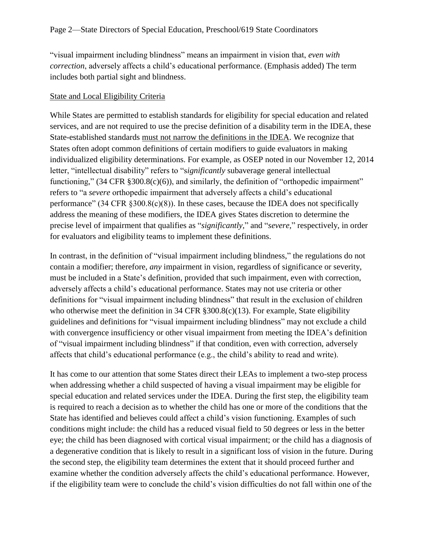"visual impairment including blindness" means an impairment in vision that, *even with correction*, adversely affects a child's educational performance. (Emphasis added) The term includes both partial sight and blindness.

### State and Local Eligibility Criteria

While States are permitted to establish standards for eligibility for special education and related services, and are not required to use the precise definition of a disability term in the IDEA, these State-established standards must not narrow the definitions in the IDEA. We recognize that States often adopt common definitions of certain modifiers to guide evaluators in making individualized eligibility determinations. For example, as OSEP noted in our November 12, 2014 letter, "intellectual disability" refers to "s*ignificantly* subaverage general intellectual functioning," (34 CFR §300.8(c)(6)), and similarly, the definition of "orthopedic impairment" refers to "a *severe* orthopedic impairment that adversely affects a child's educational performance" (34 CFR §300.8(c)(8)). In these cases, because the IDEA does not specifically address the meaning of these modifiers, the IDEA gives States discretion to determine the precise level of impairment that qualifies as "*significantly,*" and "*severe,*" respectively, in order for evaluators and eligibility teams to implement these definitions.

In contrast, in the definition of "visual impairment including blindness," the regulations do not contain a modifier; therefore, *any* impairment in vision, regardless of significance or severity, must be included in a State's definition, provided that such impairment, even with correction, adversely affects a child's educational performance. States may not use criteria or other definitions for "visual impairment including blindness" that result in the exclusion of children who otherwise meet the definition in 34 CFR §300.8(c)(13). For example, State eligibility guidelines and definitions for "visual impairment including blindness" may not exclude a child with convergence insufficiency or other visual impairment from meeting the IDEA's definition of "visual impairment including blindness" if that condition, even with correction, adversely affects that child's educational performance (e.g., the child's ability to read and write).

It has come to our attention that some States direct their LEAs to implement a two-step process when addressing whether a child suspected of having a visual impairment may be eligible for special education and related services under the IDEA. During the first step, the eligibility team is required to reach a decision as to whether the child has one or more of the conditions that the State has identified and believes could affect a child's vision functioning. Examples of such conditions might include: the child has a reduced visual field to 50 degrees or less in the better eye; the child has been diagnosed with cortical visual impairment; or the child has a diagnosis of a degenerative condition that is likely to result in a significant loss of vision in the future. During the second step, the eligibility team determines the extent that it should proceed further and examine whether the condition adversely affects the child's educational performance. However, if the eligibility team were to conclude the child's vision difficulties do not fall within one of the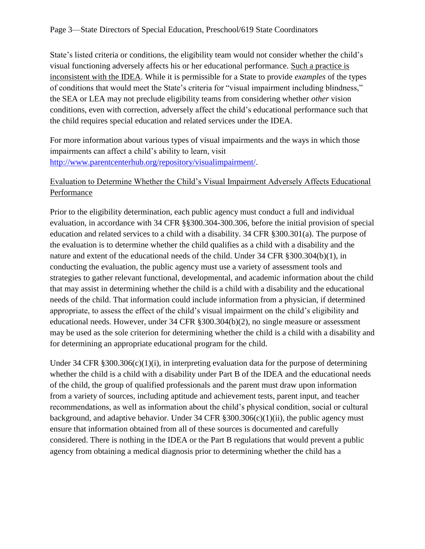State's listed criteria or conditions, the eligibility team would not consider whether the child's visual functioning adversely affects his or her educational performance. Such a practice is inconsistent with the IDEA. While it is permissible for a State to provide *examples* of the types of conditions that would meet the State's criteria for "visual impairment including blindness," the SEA or LEA may not preclude eligibility teams from considering whether *other* vision conditions, even with correction, adversely affect the child's educational performance such that the child requires special education and related services under the IDEA.

For more information about various types of visual impairments and the ways in which those impairments can affect a child's ability to learn, visit [http://www.parentcenterhub.org/repository/visualimpairment/.](http://www.parentcenterhub.org/repository/visualimpairment/)

# Evaluation to Determine Whether the Child's Visual Impairment Adversely Affects Educational Performance

Prior to the eligibility determination, each public agency must conduct a full and individual evaluation, in accordance with 34 CFR §§300.304-300.306, before the initial provision of special education and related services to a child with a disability. 34 CFR §300.301(a). The purpose of the evaluation is to determine whether the child qualifies as a child with a disability and the nature and extent of the educational needs of the child. Under 34 CFR §300.304(b)(1), in conducting the evaluation, the public agency must use a variety of assessment tools and strategies to gather relevant functional, developmental, and academic information about the child that may assist in determining whether the child is a child with a disability and the educational needs of the child. That information could include information from a physician, if determined appropriate, to assess the effect of the child's visual impairment on the child's eligibility and educational needs. However, under 34 CFR §300.304(b)(2), no single measure or assessment may be used as the sole criterion for determining whether the child is a child with a disability and for determining an appropriate educational program for the child.

Under 34 CFR  $\S 300.306(c)(1)(i)$ , in interpreting evaluation data for the purpose of determining whether the child is a child with a disability under Part B of the IDEA and the educational needs of the child, the group of qualified professionals and the parent must draw upon information from a variety of sources, including aptitude and achievement tests, parent input, and teacher recommendations, as well as information about the child's physical condition, social or cultural background, and adaptive behavior. Under 34 CFR  $\S 300.306(c)(1)(ii)$ , the public agency must ensure that information obtained from all of these sources is documented and carefully considered. There is nothing in the IDEA or the Part B regulations that would prevent a public agency from obtaining a medical diagnosis prior to determining whether the child has a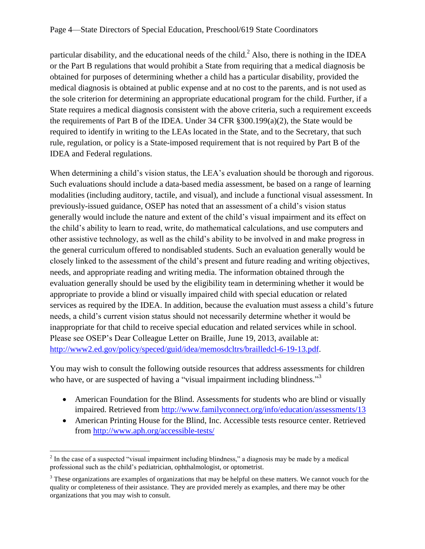particular disability, and the educational needs of the child.<sup>2</sup> Also, there is nothing in the IDEA or the Part B regulations that would prohibit a State from requiring that a medical diagnosis be obtained for purposes of determining whether a child has a particular disability, provided the medical diagnosis is obtained at public expense and at no cost to the parents, and is not used as the sole criterion for determining an appropriate educational program for the child. Further, if a State requires a medical diagnosis consistent with the above criteria, such a requirement exceeds the requirements of Part B of the IDEA. Under 34 CFR §300.199(a)(2), the State would be required to identify in writing to the LEAs located in the State, and to the Secretary, that such rule, regulation, or policy is a State-imposed requirement that is not required by Part B of the IDEA and Federal regulations.

When determining a child's vision status, the LEA's evaluation should be thorough and rigorous. Such evaluations should include a data-based media assessment, be based on a range of learning modalities (including auditory, tactile, and visual), and include a functional visual assessment. In previously-issued guidance, OSEP has noted that an assessment of a child's vision status generally would include the nature and extent of the child's visual impairment and its effect on the child's ability to learn to read, write, do mathematical calculations, and use computers and other assistive technology, as well as the child's ability to be involved in and make progress in the general curriculum offered to nondisabled students. Such an evaluation generally would be closely linked to the assessment of the child's present and future reading and writing objectives, needs, and appropriate reading and writing media. The information obtained through the evaluation generally should be used by the eligibility team in determining whether it would be appropriate to provide a blind or visually impaired child with special education or related services as required by the IDEA. In addition, because the evaluation must assess a child's future needs, a child's current vision status should not necessarily determine whether it would be inappropriate for that child to receive special education and related services while in school. Please see OSEP's Dear Colleague Letter on Braille, June 19, 2013, available at: [http://www2.ed.gov/policy/speced/guid/idea/memosdcltrs/brailledcl-6-19-13.pdf.](http://www2.ed.gov/policy/speced/guid/idea/memosdcltrs/brailledcl-6-19-13.pdf)

You may wish to consult the following outside resources that address assessments for children who have, or are suspected of having a "visual impairment including blindness."<sup>3</sup>

- American Foundation for the Blind. Assessments for students who are blind or visually impaired. Retrieved from<http://www.familyconnect.org/info/education/assessments/13>
- American Printing House for the Blind, Inc. Accessible tests resource center. Retrieved from<http://www.aph.org/accessible-tests/>

 $\overline{a}$ 

 $2<sup>2</sup>$  In the case of a suspected "visual impairment including blindness," a diagnosis may be made by a medical professional such as the child's pediatrician, ophthalmologist, or optometrist.

<sup>&</sup>lt;sup>3</sup> These organizations are examples of organizations that may be helpful on these matters. We cannot vouch for the quality or completeness of their assistance. They are provided merely as examples, and there may be other organizations that you may wish to consult.